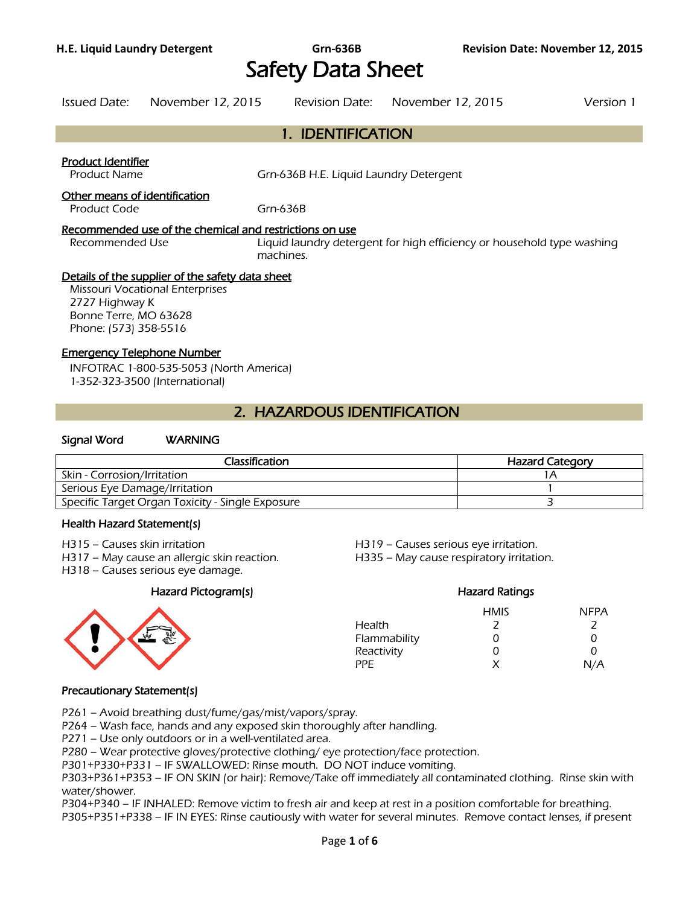# Safety Data Sheet

1. IDENTIFICATION

Issued Date: November 12, 2015 Revision Date: November 12, 2015 Version 1

# Product Identifier Product Name Grn-636B H.E. Liquid Laundry Detergent Other means of identification Product Code Grn-636B Recommended use of the chemical and restrictions on use Recommended Use **Liquid laundry detergent for high efficiency or household type washing** machines. Details of the supplier of the safety data sheet Missouri Vocational Enterprises 2727 Highway K Bonne Terre, MO 63628 Phone: (573) 358-5516 Emergency Telephone Number INFOTRAC 1-800-535-5053 (North America) 1-352-323-3500 (International) 2. HAZARDOUS IDENTIFICATION

#### Signal Word WARNING

| Classification                                   | <b>Hazard Category</b> |
|--------------------------------------------------|------------------------|
| Skin - Corrosion/Irritation                      |                        |
| Serious Eye Damage/Irritation                    |                        |
| Specific Target Organ Toxicity - Single Exposure |                        |
|                                                  |                        |

#### Health Hazard Statement(s)

- 
- H317 May cause an allergic skin reaction. H335 May cause respiratory irritation.
- H318 Causes serious eye damage.

#### Hazard Pictogram(s) Hazard Ratings



# H315 – Causes skin irritation H319 – Causes serious eye irritation.

HMIS NFPA Health 2 2 Flammability 0 0 0 Reactivity 0 0 0 PPE  $X$   $N/A$ 

#### Precautionary Statement(s)

P261 – Avoid breathing dust/fume/gas/mist/vapors/spray.

P264 – Wash face, hands and any exposed skin thoroughly after handling.

P271 – Use only outdoors or in a well-ventilated area.

P280 – Wear protective gloves/protective clothing/ eye protection/face protection.

P301+P330+P331 – IF SWALLOWED: Rinse mouth. DO NOT induce vomiting.

P303+P361+P353 – IF ON SKIN (or hair): Remove/Take off immediately all contaminated clothing. Rinse skin with water/shower.

P304+P340 – IF INHALED: Remove victim to fresh air and keep at rest in a position comfortable for breathing.

P305+P351+P338 – IF IN EYES: Rinse cautiously with water for several minutes. Remove contact lenses, if present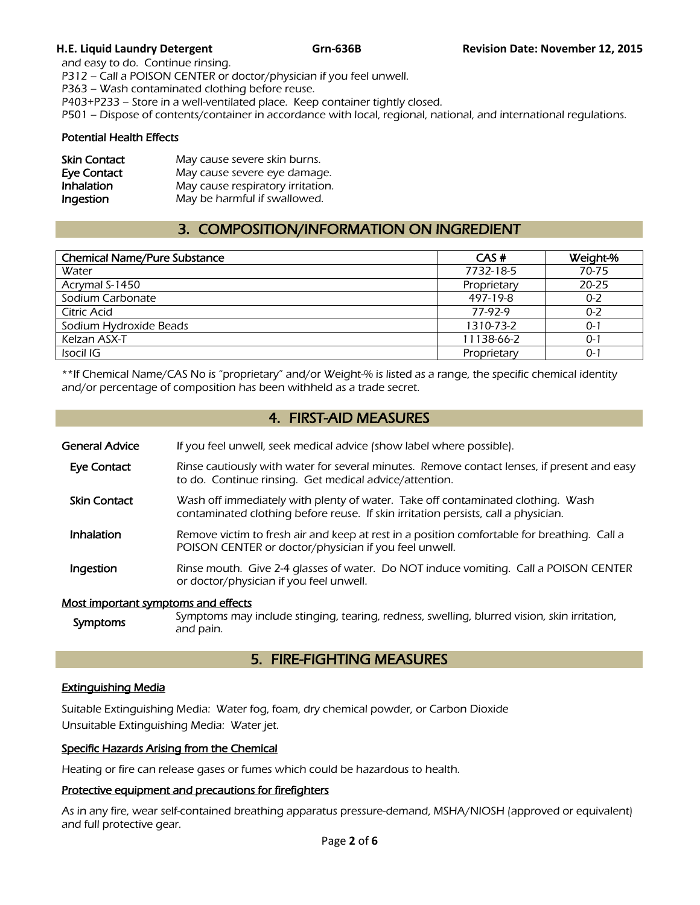and easy to do. Continue rinsing. P312 – Call a POISON CENTER or doctor/physician if you feel unwell. P363 – Wash contaminated clothing before reuse. P403+P233 – Store in a well-ventilated place. Keep container tightly closed. P501 – Dispose of contents/container in accordance with local, regional, national, and international regulations.

#### Potential Health Effects

| <b>Skin Contact</b> | May cause severe skin burns.      |
|---------------------|-----------------------------------|
| <b>Eye Contact</b>  | May cause severe eye damage.      |
| Inhalation          | May cause respiratory irritation. |
| Ingestion           | May be harmful if swallowed.      |

# 3. COMPOSITION/INFORMATION ON INGREDIENT

| <b>Chemical Name/Pure Substance</b> | CAS#        | Weight-%  |
|-------------------------------------|-------------|-----------|
| Water                               | 7732-18-5   | 70-75     |
| Acrymal S-1450                      | Proprietary | $20 - 25$ |
| Sodium Carbonate                    | 497-19-8    | $0 - 2$   |
| Citric Acid                         | 77-97-9     | $0 - 2$   |
| Sodium Hydroxide Beads              | 1310-73-2   | $0 - 1$   |
| Kelzan ASX-T                        | 11138-66-2  | $0 - 1$   |
| Isocil IG                           | Proprietary | $0 - 1$   |
|                                     |             |           |

\*\*If Chemical Name/CAS No is "proprietary" and/or Weight-% is listed as a range, the specific chemical identity and/or percentage of composition has been withheld as a trade secret.

# 4. FIRST-AID MEASURES

| General Advice | If you feel unwell, seek medical advice (show label where possible). |
|----------------|----------------------------------------------------------------------|
|                |                                                                      |

- Eye Contact Rinse cautiously with water for several minutes. Remove contact lenses, if present and easy to do. Continue rinsing. Get medical advice/attention.
- **Skin Contact** Wash off immediately with plenty of water. Take off contaminated clothing. Wash contaminated clothing before reuse. If skin irritation persists, call a physician.
- Inhalation Remove victim to fresh air and keep at rest in a position comfortable for breathing. Call a POISON CENTER or doctor/physician if you feel unwell.
- **Ingestion** Rinse mouth. Give 2-4 glasses of water. Do NOT induce vomiting. Call a POISON CENTER or doctor/physician if you feel unwell.

#### Most important symptoms and effects

Symptoms Symptoms may include stinging, tearing, redness, swelling, blurred vision, skin irritation, and pain.

## 5. FIRE-FIGHTING MEASURES

### Extinguishing Media

Suitable Extinguishing Media: Water fog, foam, dry chemical powder, or Carbon Dioxide Unsuitable Extinguishing Media: Water jet.

#### Specific Hazards Arising from the Chemical

Heating or fire can release gases or fumes which could be hazardous to health.

#### Protective equipment and precautions for firefighters

As in any fire, wear self-contained breathing apparatus pressure-demand, MSHA/NIOSH (approved or equivalent) and full protective gear.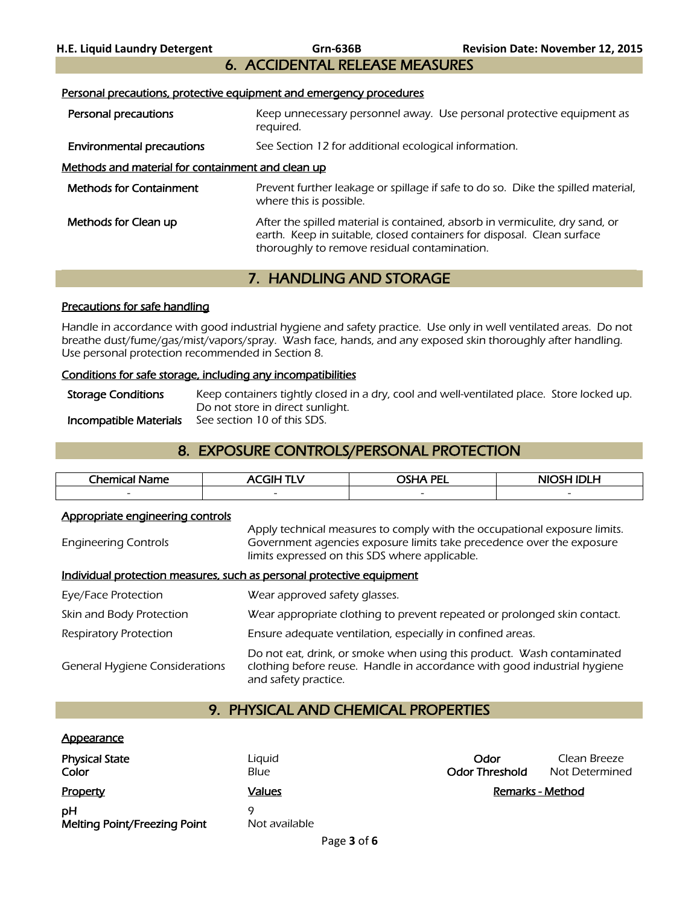# 6. ACCIDENTAL RELEASE MEASURES

#### Personal precautions, protective equipment and emergency procedures

- Personal precautions **Keep unnecessary personnel away.** Use personal protective equipment as required.<br>**Environmental precautions** See Sectio
- See Section 12 for additional ecological information.

#### Methods and material for containment and clean up

| <b>Methods for Containment</b> | Prevent further leakage or spillage if safe to do so. Dike the spilled material,<br>where this is possible.                                                                                            |
|--------------------------------|--------------------------------------------------------------------------------------------------------------------------------------------------------------------------------------------------------|
| Methods for Clean up           | After the spilled material is contained, absorb in vermiculite, dry sand, or<br>earth. Keep in suitable, closed containers for disposal. Clean surface<br>thoroughly to remove residual contamination. |

# 7. HANDLING AND STORAGE

#### Precautions for safe handling

Handle in accordance with good industrial hygiene and safety practice. Use only in well ventilated areas. Do not breathe dust/fume/gas/mist/vapors/spray. Wash face, hands, and any exposed skin thoroughly after handling. Use personal protection recommended in Section 8.

### Conditions for safe storage, including any incompatibilities

Storage Conditions Keep containers tightly closed in a dry, cool and well-ventilated place. Store locked up. Do not store in direct sunlight.<br>See section 10 of this SDS. **Incompatible Materials** 

# 8. EXPOSURE CONTROLS/PERSONAL PROTECTION

| Chemical,<br>ame         | ------                   | <b>PEI</b><br>~~. . ^    | .<br>−                   |
|--------------------------|--------------------------|--------------------------|--------------------------|
| $\overline{\phantom{0}}$ | $\overline{\phantom{0}}$ | $\overline{\phantom{0}}$ | $\overline{\phantom{0}}$ |
|                          |                          |                          |                          |

#### Appropriate engineering controls

Engineering Controls Apply technical measures to comply with the occupational exposure limits. Government agencies exposure limits take precedence over the exposure limits expressed on this SDS where applicable.

#### Individual protection measures, such as personal protective equipment

| Eye/Face Protection                   | Wear approved safety glasses.                                                                                                                                              |
|---------------------------------------|----------------------------------------------------------------------------------------------------------------------------------------------------------------------------|
| Skin and Body Protection              | Wear appropriate clothing to prevent repeated or prolonged skin contact.                                                                                                   |
| <b>Respiratory Protection</b>         | Ensure adequate ventilation, especially in confined areas.                                                                                                                 |
| <b>General Hygiene Considerations</b> | Do not eat, drink, or smoke when using this product. Wash contaminated<br>clothing before reuse. Handle in accordance with good industrial hygiene<br>and safety practice. |

# 9. PHYSICAL AND CHEMICAL PROPERTIES

#### **Appearance**

| <b>Physical State</b><br>Color     | Liguid<br>Blue | Odor<br><b>Odor Threshold</b> | Clean Breeze<br>Not Determined |
|------------------------------------|----------------|-------------------------------|--------------------------------|
| Property                           | Values         |                               | Remarks - Method               |
| рH<br>Melting Point/Freezing Point | Not available  |                               |                                |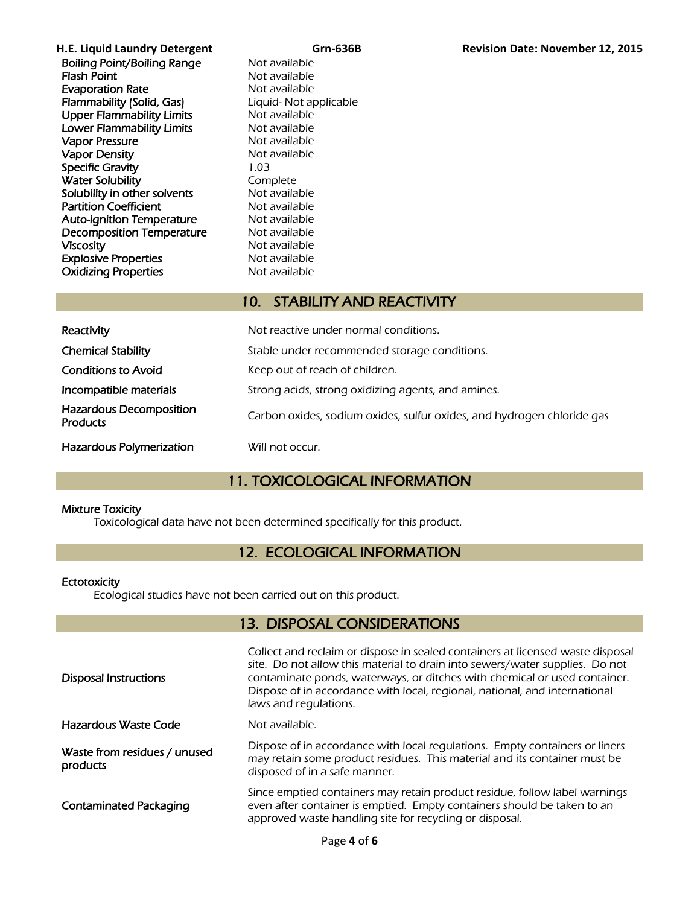| H.E. Liquid Laundry Detergent      |               |
|------------------------------------|---------------|
| <b>Boiling Point/Boiling Range</b> | Not available |
| <b>Flash Point</b>                 | Not available |
| <b>Evaporation Rate</b>            | Not available |
| <b>Flammability (Solid, Gas)</b>   | Liquid-Not a  |
| <b>Upper Flammability Limits</b>   | Not available |
| <b>Lower Flammability Limits</b>   | Not available |
| <b>Vapor Pressure</b>              | Not available |
| <b>Vapor Density</b>               | Not available |
| <b>Specific Gravity</b>            | 1.03          |
| <b>Water Solubility</b>            | Complete      |
| Solubility in other solvents       | Not available |
| <b>Partition Coefficient</b>       | Not available |
| <b>Auto-ignition Temperature</b>   | Not available |
| <b>Decomposition Temperature</b>   | Not available |
| <b>Viscosity</b>                   | Not available |
| <b>Explosive Properties</b>        | Not available |
| <b>Oxidizing Properties</b>        | Not available |

applicable

# 10. STABILITY AND REACTIVITY

| Reactivity                                        | Not reactive under normal conditions.                                  |
|---------------------------------------------------|------------------------------------------------------------------------|
| <b>Chemical Stability</b>                         | Stable under recommended storage conditions.                           |
| <b>Conditions to Avoid</b>                        | Keep out of reach of children.                                         |
| Incompatible materials                            | Strong acids, strong oxidizing agents, and amines.                     |
| <b>Hazardous Decomposition</b><br><b>Products</b> | Carbon oxides, sodium oxides, sulfur oxides, and hydrogen chloride gas |
| <b>Hazardous Polymerization</b>                   | Will not occur.                                                        |

# 11. TOXICOLOGICAL INFORMATION

#### Mixture Toxicity

Toxicological data have not been determined specifically for this product.

# 12. ECOLOGICAL INFORMATION

#### **Ectotoxicity**

Ecological studies have not been carried out on this product.

# 13. DISPOSAL CONSIDERATIONS

| <b>Disposal Instructions</b>             | Collect and reclaim or dispose in sealed containers at licensed waste disposal<br>site. Do not allow this material to drain into sewers/water supplies. Do not<br>contaminate ponds, waterways, or ditches with chemical or used container.<br>Dispose of in accordance with local, regional, national, and international<br>laws and regulations. |
|------------------------------------------|----------------------------------------------------------------------------------------------------------------------------------------------------------------------------------------------------------------------------------------------------------------------------------------------------------------------------------------------------|
| <b>Hazardous Waste Code</b>              | Not available.                                                                                                                                                                                                                                                                                                                                     |
| Waste from residues / unused<br>products | Dispose of in accordance with local regulations. Empty containers or liners<br>may retain some product residues. This material and its container must be<br>disposed of in a safe manner.                                                                                                                                                          |
| <b>Contaminated Packaging</b>            | Since emptied containers may retain product residue, follow label warnings<br>even after container is emptied. Empty containers should be taken to an<br>approved waste handling site for recycling or disposal.                                                                                                                                   |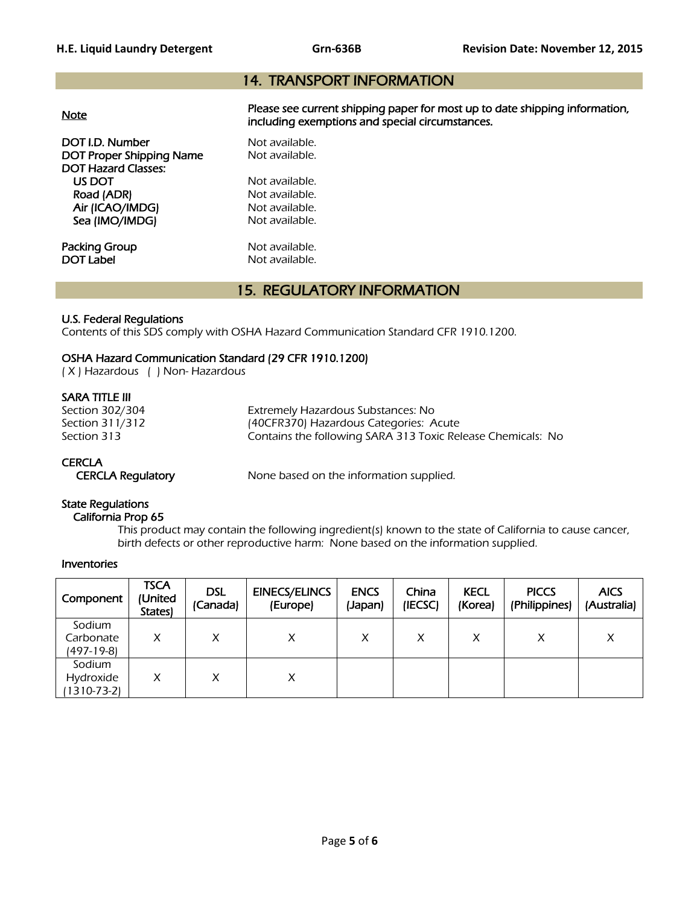# 14. TRANSPORT INFORMATION

| <b>Note</b>                                                                      | Please see current shipping paper for most up to date shipping information,<br>including exemptions and special circumstances. |
|----------------------------------------------------------------------------------|--------------------------------------------------------------------------------------------------------------------------------|
| DOT I.D. Number<br><b>DOT Proper Shipping Name</b><br><b>DOT Hazard Classes:</b> | Not available.<br>Not available.                                                                                               |
| US DOT                                                                           | Not available.                                                                                                                 |
| Road (ADR)                                                                       | Not available.                                                                                                                 |
| Air (ICAO/IMDG)                                                                  | Not available.                                                                                                                 |
| Sea (IMO/IMDG)                                                                   | Not available.                                                                                                                 |
| Packing Group                                                                    | Not available.                                                                                                                 |
| <b>DOT Label</b>                                                                 | Not available.                                                                                                                 |

# 15. REGULATORY INFORMATION

#### U.S. Federal Regulations

Contents of this SDS comply with OSHA Hazard Communication Standard CFR 1910.1200.

### OSHA Hazard Communication Standard (29 CFR 1910.1200)

( X ) Hazardous ( ) Non- Hazardous

### SARA TITLE III

Section 302/304 Extremely Hazardous Substances: No Section 311/312 (40CFR370) Hazardous Categories: Acute<br>Section 313 (Section 313) Contains the following SARA 313 Toxic Rel Contains the following SARA 313 Toxic Release Chemicals: No

### **CERCLA**

CERCLA Regulatory None based on the information supplied.

#### State Regulations

California Prop 65

 This product may contain the following ingredient(s) known to the state of California to cause cancer, birth defects or other reproductive harm: None based on the information supplied.

#### Inventories

| Component                              | <b>TSCA</b><br>(United<br>States) | <b>DSL</b><br>(Canada) | <b>EINECS/ELINCS</b><br>(Europe) | <b>ENCS</b><br>(Japan) | China<br>(IECSC) | <b>KECL</b><br>(Korea) | <b>PICCS</b><br>(Philippines) | <b>AICS</b><br>(Australia) |
|----------------------------------------|-----------------------------------|------------------------|----------------------------------|------------------------|------------------|------------------------|-------------------------------|----------------------------|
| Sodium<br>Carbonate<br>(497-19-8)      | X                                 | X                      | X                                | X                      | X                | X                      | X                             | Χ                          |
| Sodium<br>Hydroxide<br>$1310 - 73 - 2$ | X                                 | Χ                      | X                                |                        |                  |                        |                               |                            |